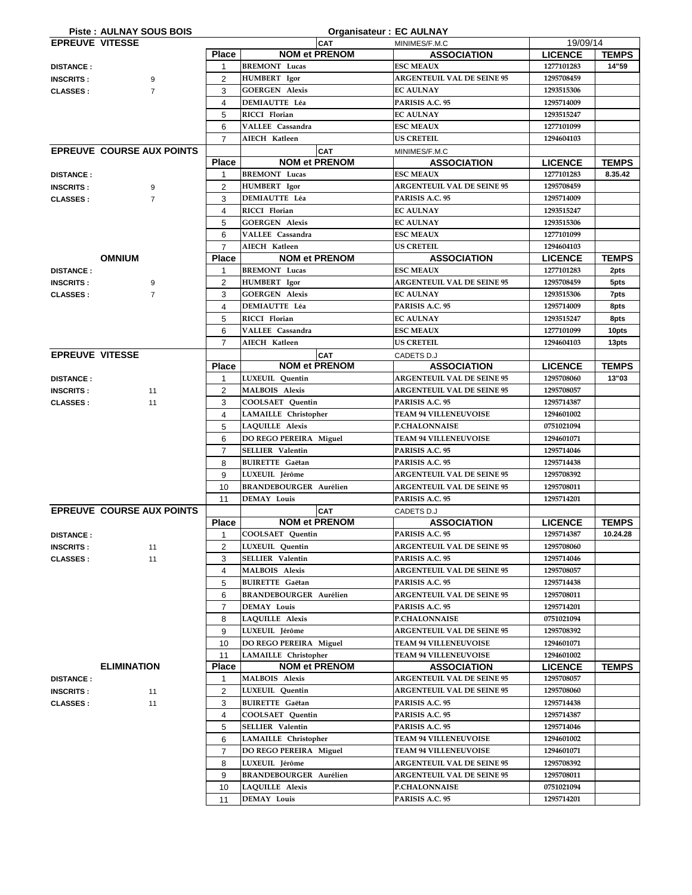|                        | <b>Piste: AULNAY SOUS BOIS</b>   |                | <b>Organisateur: EC AULNAY</b> |                                   |                |              |
|------------------------|----------------------------------|----------------|--------------------------------|-----------------------------------|----------------|--------------|
| <b>EPREUVE VITESSE</b> |                                  |                | <b>CAT</b>                     | MINIMES/F.M.C                     | 19/09/14       |              |
|                        |                                  | <b>Place</b>   | <b>NOM et PRENOM</b>           | <b>ASSOCIATION</b>                | <b>LICENCE</b> | <b>TEMPS</b> |
| <b>DISTANCE:</b>       |                                  |                | <b>BREMONT</b> Lucas           | <b>ESC MEAUX</b>                  | 1277101283     | 14"59        |
| <b>INSCRITS:</b>       | 9                                | 2              | <b>HUMBERT</b> Igor            | <b>ARGENTEUIL VAL DE SEINE 95</b> | 1295708459     |              |
| <b>CLASSES:</b>        | $\overline{7}$                   | 3              | <b>GOERGEN Alexis</b>          | <b>EC AULNAY</b>                  | 1293515306     |              |
|                        |                                  |                | <b>DEMIAUTTE Léa</b>           | PARISIS A.C. 95                   | 1295714009     |              |
|                        |                                  | 4              |                                |                                   |                |              |
|                        |                                  | 5              | RICCI Florian                  | <b>EC AULNAY</b>                  | 1293515247     |              |
|                        |                                  | 6              | VALLEE Cassandra               | <b>ESC MEAUX</b>                  | 1277101099     |              |
|                        |                                  | $\overline{7}$ | AIECH Katleen                  | US CRETEIL                        | 1294604103     |              |
|                        | <b>EPREUVE COURSE AUX POINTS</b> |                | <b>CAT</b>                     | MINIMES/F.M.C                     |                |              |
|                        |                                  | <b>Place</b>   | <b>NOM et PRENOM</b>           | <b>ASSOCIATION</b>                | <b>LICENCE</b> | <b>TEMPS</b> |
| <b>DISTANCE:</b>       |                                  |                | <b>BREMONT</b> Lucas           | <b>ESC MEAUX</b>                  | 1277101283     | 8.35.42      |
|                        |                                  | 2              | <b>HUMBERT</b> Igor            | <b>ARGENTEUIL VAL DE SEINE 95</b> | 1295708459     |              |
| <b>INSCRITS:</b>       | 9                                |                |                                |                                   |                |              |
| <b>CLASSES:</b>        | $\overline{7}$                   | 3              | <b>DEMIAUTTE Léa</b>           | PARISIS A.C. 95                   | 1295714009     |              |
|                        |                                  | 4              | RICCI Florian                  | <b>EC AULNAY</b>                  | 1293515247     |              |
|                        |                                  | 5              | <b>GOERGEN Alexis</b>          | <b>EC AULNAY</b>                  | 1293515306     |              |
|                        |                                  | 6              | VALLEE Cassandra               | <b>ESC MEAUX</b>                  | 1277101099     |              |
|                        |                                  | $\overline{7}$ | <b>AIECH Katleen</b>           | <b>US CRETEIL</b>                 | 1294604103     |              |
|                        | <b>OMNIUM</b>                    | <b>Place</b>   | <b>NOM et PRENOM</b>           | <b>ASSOCIATION</b>                | <b>LICENCE</b> | <b>TEMPS</b> |
| <b>DISTANCE:</b>       |                                  | 1              | <b>BREMONT</b> Lucas           | <b>ESC MEAUX</b>                  | 1277101283     | 2pts         |
|                        |                                  |                |                                | <b>ARGENTEUIL VAL DE SEINE 95</b> |                |              |
| <b>INSCRITS:</b>       | 9                                | $\overline{2}$ | <b>HUMBERT</b> Igor            |                                   | 1295708459     | 5pts         |
| <b>CLASSES:</b>        | $\overline{7}$                   | 3              | <b>GOERGEN Alexis</b>          | <b>EC AULNAY</b>                  | 1293515306     | 7pts         |
|                        |                                  | 4              | <b>DEMIAUTTE Léa</b>           | PARISIS A.C. 95                   | 1295714009     | 8pts         |
|                        |                                  | 5              | RICCI Florian                  | <b>EC AULNAY</b>                  | 1293515247     | 8pts         |
|                        |                                  | 6              | VALLEE Cassandra               | <b>ESC MEAUX</b>                  | 1277101099     | 10pts        |
|                        |                                  | $\overline{7}$ | AIECH Katleen                  | <b>US CRETEIL</b>                 | 1294604103     | 13pts        |
| <b>EPREUVE VITESSE</b> |                                  |                | <b>CAT</b>                     | CADETS D.J                        |                |              |
|                        |                                  | <b>Place</b>   | <b>NOM et PRENOM</b>           | <b>ASSOCIATION</b>                | <b>LICENCE</b> | <b>TEMPS</b> |
|                        |                                  |                | LUXEUIL Quentin                |                                   |                |              |
| <b>DISTANCE:</b>       |                                  |                |                                | <b>ARGENTEUIL VAL DE SEINE 95</b> | 1295708060     | 13"03        |
| <b>INSCRITS:</b>       | 11                               | $\mathcal{P}$  | <b>MALBOIS Alexis</b>          | <b>ARGENTEUIL VAL DE SEINE 95</b> | 1295708057     |              |
| <b>CLASSES:</b>        | 11                               | 3              | <b>COOLSAET Quentin</b>        | PARISIS A.C. 95                   | 1295714387     |              |
|                        |                                  | 4              | <b>LAMAILLE</b> Christopher    | <b>TEAM 94 VILLENEUVOISE</b>      | 1294601002     |              |
|                        |                                  | 5              | LAQUILLE Alexis                | <b>P.CHALONNAISE</b>              | 0751021094     |              |
|                        |                                  | 6              | DO REGO PEREIRA Miguel         | <b>TEAM 94 VILLENEUVOISE</b>      | 1294601071     |              |
|                        |                                  | $\overline{7}$ | <b>SELLIER</b> Valentin        | PARISIS A.C. 95                   | 1295714046     |              |
|                        |                                  | 8              | <b>BUIRETTE</b> Gaëtan         | PARISIS A.C. 95                   | 1295714438     |              |
|                        |                                  | 9              | LUXEUIL Jérôme                 | <b>ARGENTEUIL VAL DE SEINE 95</b> | 1295708392     |              |
|                        |                                  |                |                                | <b>ARGENTEUIL VAL DE SEINE 95</b> |                |              |
|                        |                                  | 10             | <b>BRANDEBOURGER Aurélien</b>  |                                   | 1295708011     |              |
|                        |                                  | 11             | <b>DEMAY Louis</b>             | PARISIS A.C. 95                   | 1295714201     |              |
|                        | <b>EPREUVE COURSE AUX POINTS</b> |                | <b>CAT</b>                     | CADETS D.J                        |                |              |
|                        |                                  | <b>Place</b>   | <b>NOM et PRENOM</b>           | <b>ASSOCIATION</b>                | <b>LICENCE</b> | <b>TEMPS</b> |
| <b>DISTANCE:</b>       |                                  |                | COOLSAET Quentin               | PARISIS A.C. 95                   | 1295714387     | 10.24.28     |
| <b>INSCRITS:</b>       | 11                               | $\overline{2}$ | LUXEUIL Quentin                | <b>ARGENTEUIL VAL DE SEINE 95</b> | 1295708060     |              |
| <b>CLASSES:</b>        | 11                               | 3              | <b>SELLIER Valentin</b>        | PARISIS A.C. 95                   | 1295714046     |              |
|                        |                                  | 4              | <b>MALBOIS Alexis</b>          | <b>ARGENTEUIL VAL DE SEINE 95</b> | 1295708057     |              |
|                        |                                  |                |                                |                                   |                |              |
|                        |                                  | 5              | <b>BUIRETTE</b> Gaëtan         | PARISIS A.C. 95                   | 1295714438     |              |
|                        |                                  | 6              | <b>BRANDEBOURGER Aurélien</b>  | <b>ARGENTEUIL VAL DE SEINE 95</b> | 1295708011     |              |
|                        |                                  | $\overline{7}$ | <b>DEMAY Louis</b>             | PARISIS A.C. 95                   | 1295714201     |              |
|                        |                                  | 8              | LAQUILLE Alexis                | <b>P.CHALONNAISE</b>              | 0751021094     |              |
|                        |                                  | 9              | LUXEUIL Jérôme                 | <b>ARGENTEUIL VAL DE SEINE 95</b> | 1295708392     |              |
|                        |                                  | 10             | DO REGO PEREIRA Miguel         | <b>TEAM 94 VILLENEUVOISE</b>      | 1294601071     |              |
|                        |                                  | 11             | LAMAILLE Christopher           | <b>TEAM 94 VILLENEUVOISE</b>      | 1294601002     |              |
|                        |                                  | <b>Place</b>   | <b>NOM et PRENOM</b>           |                                   |                |              |
|                        | <b>ELIMINATION</b>               |                |                                | <b>ASSOCIATION</b>                | <b>LICENCE</b> | <b>TEMPS</b> |
| <b>DISTANCE:</b>       |                                  | 1              | <b>MALBOIS Alexis</b>          | <b>ARGENTEUIL VAL DE SEINE 95</b> | 1295708057     |              |
| <b>INSCRITS:</b>       | 11                               | $\overline{2}$ | LUXEUIL Quentin                | <b>ARGENTEUIL VAL DE SEINE 95</b> | 1295708060     |              |
| <b>CLASSES:</b>        | 11                               | 3              | <b>BUIRETTE</b> Gaëtan         | PARISIS A.C. 95                   | 1295714438     |              |
|                        |                                  | 4              | COOLSAET Quentin               | PARISIS A.C. 95                   | 1295714387     |              |
|                        |                                  | 5              | <b>SELLIER Valentin</b>        | PARISIS A.C. 95                   | 1295714046     |              |
|                        |                                  | 6              | <b>LAMAILLE</b> Christopher    | <b>TEAM 94 VILLENEUVOISE</b>      | 1294601002     |              |
|                        |                                  | $\overline{7}$ | DO REGO PEREIRA Miguel         | <b>TEAM 94 VILLENEUVOISE</b>      | 1294601071     |              |
|                        |                                  | 8              | LUXEUIL Jérôme                 | <b>ARGENTEUIL VAL DE SEINE 95</b> | 1295708392     |              |
|                        |                                  |                |                                |                                   |                |              |
|                        |                                  | 9              | <b>BRANDEBOURGER Aurélien</b>  | <b>ARGENTEUIL VAL DE SEINE 95</b> | 1295708011     |              |
|                        |                                  | 10             | LAQUILLE Alexis                | <b>P.CHALONNAISE</b>              | 0751021094     |              |
|                        |                                  | 11             | <b>DEMAY Louis</b>             | PARISIS A.C. 95                   | 1295714201     |              |